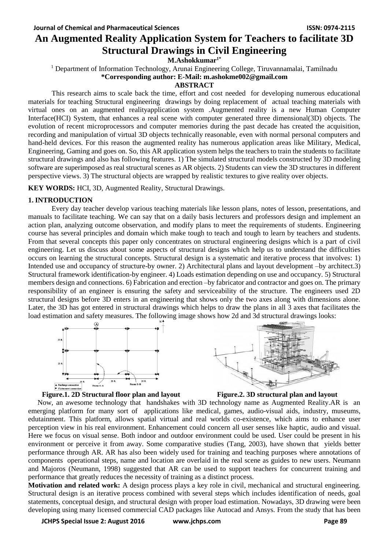# **An Augmented Reality Application System for Teachers to facilitate 3D Structural Drawings in Civil Engineering**

**M.Ashokkumar1\***

<sup>1</sup> Department of Information Technology, Arunai Engineering College, Tiruvannamalai, Tamilnadu **\*Corresponding author: E-Mail: m.ashokme002@gmail.com**

#### **ABSTRACT**

This research aims to scale back the time, effort and cost needed for developing numerous educational materials for teaching Structural engineering drawings by doing replacement of actual teaching materials with virtual ones on an augmented realityapplication system .Augmented reality is a new Human Computer Interface(HCI) System, that enhances a real scene with computer generated three dimensional(3D) objects. The evolution of recent microprocessors and computer memories during the past decade has created the acquisition, recording and manipulation of virtual 3D objects technically reasonable, even with normal personal computers and hand-held devices. For this reason the augmented reality has numerous application areas like Military, Medical, Engineering, Gaming and goes on. So, this AR application system helps the teachers to train the students to facilitate structural drawings and also has following features. 1) The simulated structural models constructed by 3D modeling software are superimposed as real structural scenes as AR objects. 2) Students can view the 3D structures in different perspective views. 3) The structural objects are wrapped by realistic textures to give reality over objects.

**KEY WORDS:** HCI, 3D, Augmented Reality, Structural Drawings.

### **1. INTRODUCTION**

Every day teacher develop various teaching materials like lesson plans, notes of lesson, presentations, and manuals to facilitate teaching. We can say that on a daily basis lecturers and professors design and implement an action plan, analyzing outcome observation, and modify plans to meet the requirements of students. Engineering course has several principles and domain which make tough to teach and tough to learn by teachers and students. From that several concepts this paper only concentrates on structural engineering designs which is a part of civil engineering. Let us discuss about some aspects of structural designs which help us to understand the difficulties occurs on learning the structural concepts. Structural design is a systematic and iterative process that involves: 1) Intended use and occupancy of structure-by owner. 2) Architectural plans and layout development –by architect.3) Structural framework identification-by engineer. 4) Loads estimation depending on use and occupancy. 5) Structural members design and connections. 6) Fabrication and erection –by fabricator and contractor and goes on. The primary responsibility of an engineer is ensuring the safety and serviceability of the structure. The engineers used 2D structural designs before 3D enters in an engineering that shows only the two axes along with dimensions alone. Later, the 3D has got entered in structural drawings which helps to draw the plans in all 3 axes that facilitates the load estimation and safety measures. The following image shows how 2d and 3d structural drawings looks:





#### **Figure.1. 2D Structural floor plan and layout Figure.2. 3D structural plan and layout**



Now, an awesome technology that handshakes with 3D technology name as Augmented Reality.AR is an emerging platform for many sort of applications like medical, games, audio-visual aids, industry, museums, edutainment. This platform, allows spatial virtual and real worlds co-existence, which aims to enhance user perception view in his real environment. Enhancement could concern all user senses like haptic, audio and visual. Here we focus on visual sense. Both indoor and outdoor environment could be used. User could be present in his environment or perceive it from away. Some comparative studies (Tang, 2003), have shown that yields better performance through AR. AR has also been widely used for training and teaching purposes where annotations of components operational steps, name and location are overlaid in the real scene as guides to new users. Neumann and Majoros (Neumann, 1998) suggested that AR can be used to support teachers for concurrent training and performance that greatly reduces the necessity of training as a distinct process.

**Motivation and related work:** A design process plays a key role in civil, mechanical and structural engineering. Structural design is an iterative process combined with several steps which includes identification of needs, goal statements, conceptual design, and structural design with proper load estimation. Nowadays, 3D drawing were been developing using many licensed commercial CAD packages like Autocad and Ansys. From the study that has been

**JCHPS Special Issue 2: August 2016 www.jchps.com Page 89**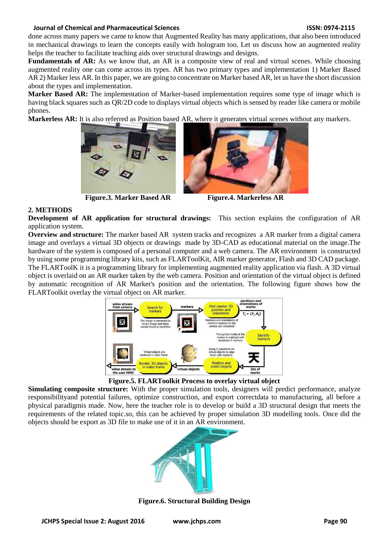#### **Journal of Chemical and Pharmaceutical Sciences ISSN: 0974-2115**

done across many papers we came to know that Augmented Reality has many applications, that also been introduced in mechanical drawings to learn the concepts easily with hologram too. Let us discuss how an augmented reality helps the teacher to facilitate teaching aids over structural drawings and designs.

**Fundamentals of AR:** As we know that, an AR is a composite view of real and virtual scenes. While choosing augmented reality one can come across its types. AR has two primary types and implementation 1) Marker Based AR 2) Marker less AR. In this paper, we are going to concentrate on Marker based AR, let us have the short discussion about the types and implementation.

**Marker Based AR:** The implementation of Marker-based implementation requires some type of image which is having black squares such as QR/2D code to displays virtual objects which is sensed by reader like camera or mobile phones.

**Markerless AR:** It is also referred as Position based AR, where it generates virtual scenes without any markers.



**Figure.3. Marker Based AR Figure.4. Markerless AR**



### **2. METHODS**

**Development of AR application for structural drawings:** This section explains the configuration of AR application system.

**Overview and structure:** The marker based AR system tracks and recognizes a AR marker from a digital camera image and overlays a virtual 3D objects or drawings made by 3D-CAD as educational material on the image.The hardware of the system is composed of a personal computer and a web camera. The AR environment is constructed by using some programming library kits, such as FLARToolKit, AIR marker generator, Flash and 3D CAD package. The FLARToolK it is a programming library for implementing augmented reality application via flash. A 3D virtual object is overlaid on an AR marker taken by the web camera. Position and orientation of the virtual object is defined by automatic recognition of AR Marker's position and the orientation. The following figure shows how the FLARToolkit overlay the virtual object on AR marker.



**Figure.5. FLARToolkit Process to overlay virtual object**

**Simulating composite structure:** With the proper simulation tools, designers will predict performance, analyze responsibilityand potential failures, optimize construction, and export correctdata to manufacturing, all before a physical paradigmis made. Now, here the teacher role is to develop or build a 3D structural design that meets the requirements of the related topic.so, this can be achieved by proper simulation 3D modelling tools. Once did the objects should be export as 3D file to make use of it in an AR environment.



**Figure.6. Structural Building Design**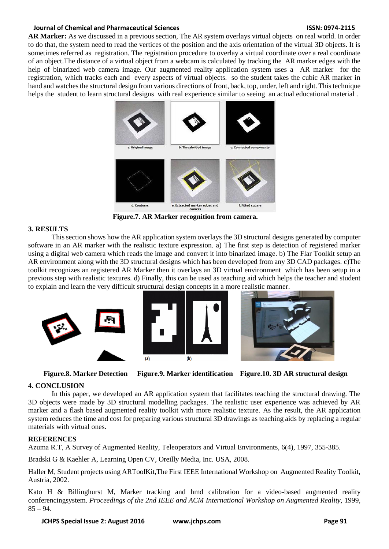#### **Journal of Chemical and Pharmaceutical Sciences Chemical Sciences ISSN: 0974-2115**

**AR Marker:** As we discussed in a previous section, The AR system overlays virtual objects on real world. In order to do that, the system need to read the vertices of the position and the axis orientation of the virtual 3D objects. It is sometimes referred as registration. The registration procedure to overlay a virtual coordinate over a real coordinate of an object.The distance of a virtual object from a webcam is calculated by tracking the AR marker edges with the help of binarized web camera image. Our augmented reality application system uses a AR marker for the registration, which tracks each and every aspects of virtual objects. so the student takes the cubic AR marker in hand and watches the structural design from various directions of front, back, top, under, left and right. This technique helps the student to learn structural designs with real experience similar to seeing an actual educational material.



**Figure.7. AR Marker recognition from camera.**

# **3. RESULTS**

This section shows how the AR application system overlays the 3D structural designs generated by computer software in an AR marker with the realistic texture expression. a) The first step is detection of registered marker using a digital web camera which reads the image and convert it into binarized image. b) The Flar Toolkit setup an AR environment along with the 3D structural designs which has been developed from any 3D CAD packages. c)The toolkit recognizes an registered AR Marker then it overlays an 3D virtual environment which has been setup in a previous step with realistic textures. d) Finally, this can be used as teaching aid which helps the teacher and student to explain and learn the very difficult structural design concepts in a more realistic manner.





# **4. CONCLUSION**

In this paper, we developed an AR application system that facilitates teaching the structural drawing. The 3D objects were made by 3D structural modelling packages. The realistic user experience was achieved by AR marker and a flash based augmented reality toolkit with more realistic texture. As the result, the AR application system reduces the time and cost for preparing various structural 3D drawings as teaching aids by replacing a regular materials with virtual ones.

### **REFERENCES**

Azuma R.T, A Survey of Augmented Reality, Teleoperators and Virtual Environments, 6(4), 1997, 355-385.

Bradski G & Kaehler A, Learning Open CV, Oreilly Media, Inc. USA, 2008.

Haller M, Student projects using ARToolKit,The First IEEE International Workshop on Augmented Reality Toolkit, Austria, 2002.

Kato H & Billinghurst M, Marker tracking and hmd calibration for a video-based augmented reality conferencingsystem. *Proceedings of the 2nd IEEE and ACM International Workshop on Augmented Reality*, 1999,  $85 - 94.$